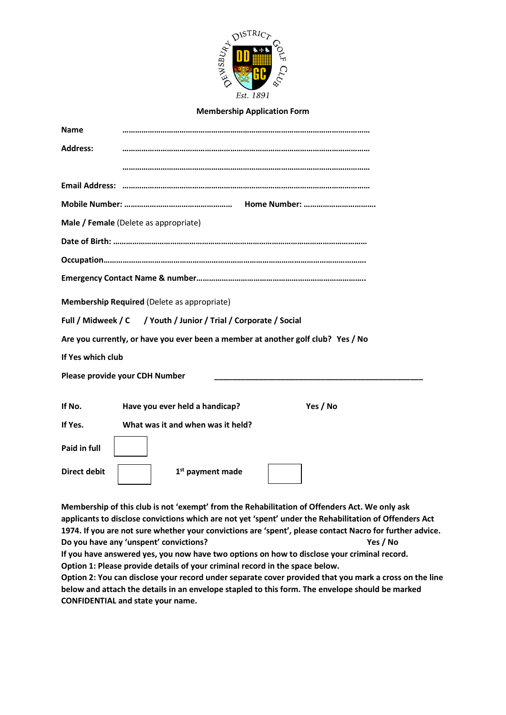

#### **Membership Application Form**

| <b>Name</b>         |                                                                                  |
|---------------------|----------------------------------------------------------------------------------|
| <b>Address:</b>     |                                                                                  |
|                     |                                                                                  |
|                     |                                                                                  |
|                     |                                                                                  |
|                     | Male / Female (Delete as appropriate)                                            |
|                     |                                                                                  |
|                     |                                                                                  |
|                     |                                                                                  |
|                     | Membership Required (Delete as appropriate)                                      |
|                     | Full / Midweek / C / Youth / Junior / Trial / Corporate / Social                 |
|                     | Are you currently, or have you ever been a member at another golf club? Yes / No |
| If Yes which club   |                                                                                  |
|                     | Please provide your CDH Number                                                   |
|                     |                                                                                  |
| If No.              | Have you ever held a handicap?<br>Yes / No                                       |
| If Yes.             | What was it and when was it held?                                                |
| Paid in full        |                                                                                  |
| <b>Direct debit</b> | 1 <sup>st</sup> payment made                                                     |
|                     |                                                                                  |

**Membership of this club is not 'exempt' from the Rehabilitation of Offenders Act. We only ask applicants to disclose convictions which are not yet 'spent' under the Rehabilitation of Offenders Act 1974. If you are not sure whether your convictions are 'spent', please contact Nacro for further advice. Do you have any 'unspent' convictions? Yes / No If you have answered yes, you now have two options on how to disclose your criminal record. Option 1: Please provide details of your criminal record in the space below. Option 2: You can disclose your record under separate cover provided that you mark a cross on the line below and attach the details in an envelope stapled to this form. The envelope should be marked CONFIDENTIAL and state your name.**